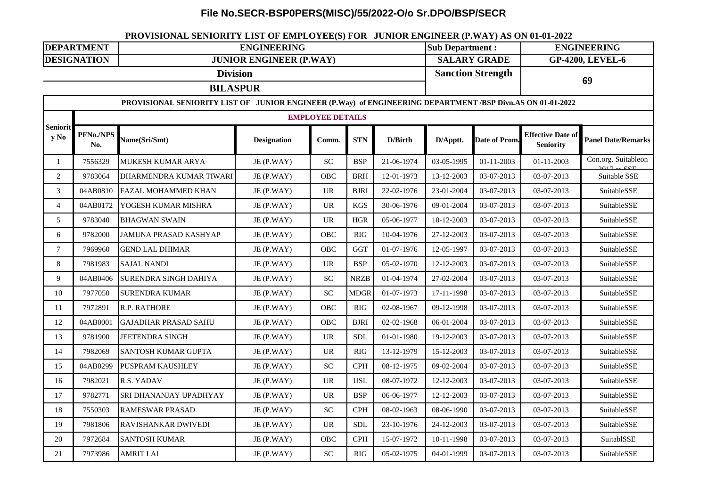## **File No.SECR-BSP0PERS(MISC)/55/2022-O/o Sr.DPO/BSP/SECR**

## **PROVISIONAL SENIORITY LIST OF EMPLOYEE(S) FOR JUNIOR ENGINEER (P.WAY) AS ON 01-01-2022**

| <b>DEPARTMENT</b>       |                                                                                                            | <b>ENGINEERING</b>             |                    |                                   |             |            |                          | <b>Sub Department:</b> |                                              | <b>ENGINEERING</b>        |  |  |  |
|-------------------------|------------------------------------------------------------------------------------------------------------|--------------------------------|--------------------|-----------------------------------|-------------|------------|--------------------------|------------------------|----------------------------------------------|---------------------------|--|--|--|
| <b>DESIGNATION</b>      |                                                                                                            | <b>JUNIOR ENGINEER (P.WAY)</b> |                    |                                   |             |            |                          | <b>SALARY GRADE</b>    |                                              | <b>GP-4200, LEVEL-6</b>   |  |  |  |
| <b>Division</b>         |                                                                                                            |                                |                    |                                   |             |            | <b>Sanction Strength</b> |                        | 69                                           |                           |  |  |  |
|                         | <b>BILASPUR</b>                                                                                            |                                |                    |                                   |             |            |                          |                        |                                              |                           |  |  |  |
|                         | PROVISIONAL SENIORITY LIST OF JUNIOR ENGINEER (P.Way) of ENGINEERING DEPARTMENT /BSP Divn.AS ON 01-01-2022 |                                |                    |                                   |             |            |                          |                        |                                              |                           |  |  |  |
| <b>Seniorit</b><br>y No |                                                                                                            | <b>EMPLOYEE DETAILS</b>        |                    |                                   |             |            |                          |                        |                                              |                           |  |  |  |
|                         | PFNo./NPS<br>No.                                                                                           | Name(Sri/Smt)                  | <b>Designation</b> | Comm.                             | <b>STN</b>  | D/Birth    | D/Apptt.                 | Date of Prom.          | <b>Effective Date of</b><br><b>Seniority</b> | <b>Panel Date/Remarks</b> |  |  |  |
| $\mathbf{1}$            | 7556329                                                                                                    | MUKESH KUMAR ARYA              | JE (P.WAY)         | ${\rm SC}$                        | <b>BSP</b>  | 21-06-1974 | 03-05-1995               | $01 - 11 - 2003$       | $01 - 11 - 2003$                             | Con.org. Suitableon       |  |  |  |
| $\overline{2}$          | 9783064                                                                                                    | DHARMENDRA KUMAR TIWARI        | JE (P.WAY)         | <b>OBC</b>                        | <b>BRH</b>  | 12-01-1973 | 13-12-2003               | 03-07-2013             | 03-07-2013                                   | Suitable SSE              |  |  |  |
| $\mathfrak{Z}$          | 04AB0810                                                                                                   | FAZAL MOHAMMED KHAN            | JE (P.WAY)         | $\ensuremath{\mathsf{UR}}\xspace$ | <b>BJRI</b> | 22-02-1976 | 23-01-2004               | 03-07-2013             | 03-07-2013                                   | SuitableSSE               |  |  |  |
| $\overline{4}$          | 04AB0172                                                                                                   | YOGESH KUMAR MISHRA            | JE(P.WAY)          | $\ensuremath{\mathsf{UR}}\xspace$ | <b>KGS</b>  | 30-06-1976 | 09-01-2004               | 03-07-2013             | 03-07-2013                                   | SuitableSSE               |  |  |  |
| 5                       | 9783040                                                                                                    | <b>BHAGWAN SWAIN</b>           | JE (P.WAY)         | <b>UR</b>                         | <b>HGR</b>  | 05-06-1977 | 10-12-2003               | 03-07-2013             | 03-07-2013                                   | SuitableSSE               |  |  |  |
| 6                       | 9782000                                                                                                    | JAMUNA PRASAD KASHYAP          | JE (P.WAY)         | <b>OBC</b>                        | <b>RIG</b>  | 10-04-1976 | 27-12-2003               | 03-07-2013             | 03-07-2013                                   | SuitableSSE               |  |  |  |
| $\tau$                  | 7969960                                                                                                    | <b>GEND LAL DHIMAR</b>         | JE (P.WAY)         | OBC                               | <b>GGT</b>  | 01-07-1976 | 12-05-1997               | 03-07-2013             | 03-07-2013                                   | SuitableSSE               |  |  |  |
| 8                       | 7981983                                                                                                    | <b>SAJAL NANDI</b>             | JE (P.WAY)         | $\ensuremath{\text{UR}}\xspace$   | <b>BSP</b>  | 05-02-1970 | 12-12-2003               | 03-07-2013             | 03-07-2013                                   | SuitableSSE               |  |  |  |
| 9                       | 04AB0406                                                                                                   | SURENDRA SINGH DAHIYA          | JE (P.WAY)         | <b>SC</b>                         | <b>NRZB</b> | 01-04-1974 | 27-02-2004               | 03-07-2013             | 03-07-2013                                   | SuitableSSE               |  |  |  |
| 10                      | 7977050                                                                                                    | <b>SURENDRA KUMAR</b>          | JE (P.WAY)         | <b>SC</b>                         | <b>MDGR</b> | 01-07-1973 | 17-11-1998               | 03-07-2013             | 03-07-2013                                   | SuitableSSE               |  |  |  |
| 11                      | 7972891                                                                                                    | R.P. RATHORE                   | JE (P.WAY)         | OBC                               | <b>RIG</b>  | 02-08-1967 | 09-12-1998               | 03-07-2013             | 03-07-2013                                   | SuitableSSE               |  |  |  |
| 12                      | 04AB0001                                                                                                   | <b>GAJADHAR PRASAD SAHU</b>    | JE (P.WAY)         | OBC                               | <b>BJRI</b> | 02-02-1968 | 06-01-2004               | 03-07-2013             | 03-07-2013                                   | SuitableSSE               |  |  |  |
| 13                      | 9781900                                                                                                    | JEETENDRA SINGH                | JE (P.WAY)         | $\ensuremath{\text{UR}}\xspace$   | <b>SDL</b>  | 01-01-1980 | 19-12-2003               | 03-07-2013             | 03-07-2013                                   | SuitableSSE               |  |  |  |
| 14                      | 7982069                                                                                                    | SANTOSH KUMAR GUPTA            | JE (P.WAY)         | $\ensuremath{\mathsf{UR}}\xspace$ | <b>RIG</b>  | 13-12-1979 | 15-12-2003               | 03-07-2013             | 03-07-2013                                   | SuitableSSE               |  |  |  |
| 15                      | 04AB0299                                                                                                   | PUSPRAM KAUSHLEY               | JE (P.WAY)         | <b>SC</b>                         | <b>CPH</b>  | 08-12-1975 | 09-02-2004               | 03-07-2013             | 03-07-2013                                   | SuitableSSE               |  |  |  |
| 16                      | 7982021                                                                                                    | R.S. YADAV                     | JE (P.WAY)         | <b>UR</b>                         | <b>USL</b>  | 08-07-1972 | 12-12-2003               | 03-07-2013             | 03-07-2013                                   | SuitableSSE               |  |  |  |
| 17                      | 9782771                                                                                                    | SRI DHANANJAY UPADHYAY         | JE (P.WAY)         | <b>UR</b>                         | <b>BSP</b>  | 06-06-1977 | 12-12-2003               | 03-07-2013             | 03-07-2013                                   | SuitableSSE               |  |  |  |
| $18\,$                  | 7550303                                                                                                    | <b>RAMESWAR PRASAD</b>         | JE (P.WAY)         | ${\rm SC}$                        | <b>CPH</b>  | 08-02-1963 | 08-06-1990               | 03-07-2013             | 03-07-2013                                   | SuitableSSE               |  |  |  |
| 19                      | 7981806                                                                                                    | RAVISHANKAR DWIVEDI            | JE (P.WAY)         | <b>UR</b>                         | <b>SDL</b>  | 23-10-1976 | 24-12-2003               | 03-07-2013             | 03-07-2013                                   | SuitableSSE               |  |  |  |
| $20\,$                  | 7972684                                                                                                    | <b>SANTOSH KUMAR</b>           | JE (P.WAY)         | OBC                               | <b>CPH</b>  | 15-07-1972 | 10-11-1998               | 03-07-2013             | 03-07-2013                                   | SuitablSSE                |  |  |  |
| 21                      | 7973986                                                                                                    | <b>AMRIT LAL</b>               | JE (P.WAY)         | ${\rm SC}$                        | <b>RIG</b>  | 05-02-1975 | 04-01-1999               | 03-07-2013             | 03-07-2013                                   | SuitableSSE               |  |  |  |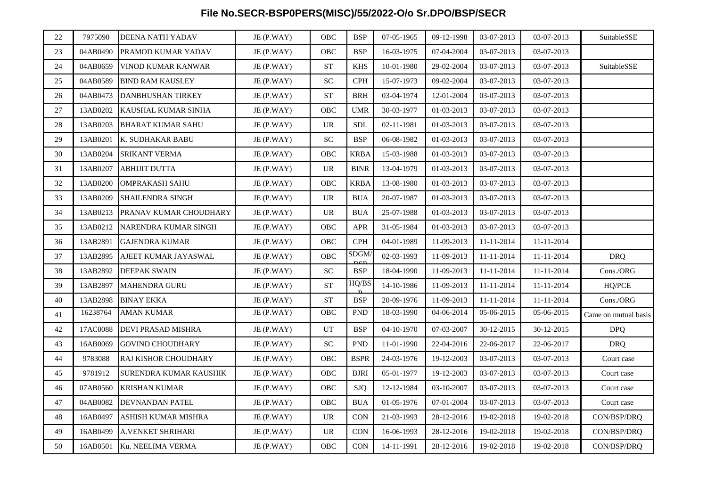## **File No.SECR-BSP0PERS(MISC)/55/2022-O/o Sr.DPO/BSP/SECR**

| 22 | 7975090  | DEENA NATH YADAV            | JE (P.WAY) | OBC                        | <b>BSP</b>  | 07-05-1965 | 09-12-1998 | 03-07-2013 | 03-07-2013 | SuitableSSE          |
|----|----------|-----------------------------|------------|----------------------------|-------------|------------|------------|------------|------------|----------------------|
| 23 | 04AB0490 | PRAMOD KUMAR YADAV          | JE (P.WAY) | OBC                        | <b>BSP</b>  | 16-03-1975 | 07-04-2004 | 03-07-2013 | 03-07-2013 |                      |
| 24 | 04AB0659 | VINOD KUMAR KANWAR          | JE (P.WAY) | ${\cal S}{\cal T}$         | <b>KHS</b>  | 10-01-1980 | 29-02-2004 | 03-07-2013 | 03-07-2013 | SuitableSSE          |
| 25 | 04AB0589 | <b>BIND RAM KAUSLEY</b>     | JE (P.WAY) | SC                         | <b>CPH</b>  | 15-07-1973 | 09-02-2004 | 03-07-2013 | 03-07-2013 |                      |
| 26 | 04AB0473 | <b>DANBHUSHAN TIRKEY</b>    | JE (P.WAY) | <b>ST</b>                  | <b>BRH</b>  | 03-04-1974 | 12-01-2004 | 03-07-2013 | 03-07-2013 |                      |
| 27 | 13AB0202 | KAUSHAL KUMAR SINHA         | JE(P.WAY)  | OBC                        | <b>UMR</b>  | 30-03-1977 | 01-03-2013 | 03-07-2013 | 03-07-2013 |                      |
| 28 | 13AB0203 | <b>BHARAT KUMAR SAHU</b>    | JE(P.WAY)  | <b>UR</b>                  | <b>SDL</b>  | 02-11-1981 | 01-03-2013 | 03-07-2013 | 03-07-2013 |                      |
| 29 | 13AB0201 | K. SUDHAKAR BABU            | JE (P.WAY) | <b>SC</b>                  | <b>BSP</b>  | 06-08-1982 | 01-03-2013 | 03-07-2013 | 03-07-2013 |                      |
| 30 | 13AB0204 | <b>SRIKANT VERMA</b>        | JE(P.WAY)  | OBC                        | <b>KRBA</b> | 15-03-1988 | 01-03-2013 | 03-07-2013 | 03-07-2013 |                      |
| 31 | 13AB0207 | <b>ABHIJIT DUTTA</b>        | JE (P.WAY) | <b>UR</b>                  | <b>BINR</b> | 13-04-1979 | 01-03-2013 | 03-07-2013 | 03-07-2013 |                      |
| 32 | 13AB0200 | <b>OMPRAKASH SAHU</b>       | JE (P.WAY) | OBC                        | <b>KRBA</b> | 13-08-1980 | 01-03-2013 | 03-07-2013 | 03-07-2013 |                      |
| 33 | 13AB0209 | SHAILENDRA SINGH            | JE(P.WAY)  | <b>UR</b>                  | <b>BUA</b>  | 20-07-1987 | 01-03-2013 | 03-07-2013 | 03-07-2013 |                      |
| 34 | 13AB0213 | PRANAV KUMAR CHOUDHARY      | JE (P.WAY) | <b>UR</b>                  | <b>BUA</b>  | 25-07-1988 | 01-03-2013 | 03-07-2013 | 03-07-2013 |                      |
| 35 | 13AB0212 | NARENDRA KUMAR SINGH        | JE (P.WAY) | OBC                        | <b>APR</b>  | 31-05-1984 | 01-03-2013 | 03-07-2013 | 03-07-2013 |                      |
| 36 | 13AB2891 | <b>GAJENDRA KUMAR</b>       | JE (P.WAY) | OBC                        | <b>CPH</b>  | 04-01-1989 | 11-09-2013 | 11-11-2014 | 11-11-2014 |                      |
| 37 | 13AB2895 | AJEET KUMAR JAYASWAL        | JE (P.WAY) | <b>OBC</b>                 | SDGM/       | 02-03-1993 | 11-09-2013 | 11-11-2014 | 11-11-2014 | <b>DRQ</b>           |
| 38 | 13AB2892 | <b>DEEPAK SWAIN</b>         | JE(P.WAY)  | ${\rm SC}$                 | <b>BSP</b>  | 18-04-1990 | 11-09-2013 | 11-11-2014 | 11-11-2014 | Cons./ORG            |
| 39 | 13AB2897 | <b>MAHENDRA GURU</b>        | JE (P.WAY) | <b>ST</b>                  | HQ/BS       | 14-10-1986 | 11-09-2013 | 11-11-2014 | 11-11-2014 | HQ/PCE               |
| 40 | 13AB2898 | <b>BINAY EKKA</b>           | JE (P.WAY) | ${\cal S}{\cal T}$         | <b>BSP</b>  | 20-09-1976 | 11-09-2013 | 11-11-2014 | 11-11-2014 | $\rm Cons./ORG$      |
| 41 | 16238764 | <b>AMAN KUMAR</b>           | JE (P.WAY) | OBC                        | ${\tt PND}$ | 18-03-1990 | 04-06-2014 | 05-06-2015 | 05-06-2015 | Came on mutual basis |
| 42 | 17AC0088 | DEVI PRASAD MISHRA          | JE (P.WAY) | $\ensuremath{\mathrm{UT}}$ | <b>BSP</b>  | 04-10-1970 | 07-03-2007 | 30-12-2015 | 30-12-2015 | <b>DPQ</b>           |
| 43 | 16AB0069 | <b>GOVIND CHOUDHARY</b>     | JE(P.WAY)  | SC                         | <b>PND</b>  | 11-01-1990 | 22-04-2016 | 22-06-2017 | 22-06-2017 | <b>DRQ</b>           |
| 44 | 9783088  | <b>RAJ KISHOR CHOUDHARY</b> | JE(P.WAY)  | OBC                        | <b>BSPR</b> | 24-03-1976 | 19-12-2003 | 03-07-2013 | 03-07-2013 | Court case           |
| 45 | 9781912  | SURENDRA KUMAR KAUSHIK      | JE (P.WAY) | OBC                        | <b>BJRI</b> | 05-01-1977 | 19-12-2003 | 03-07-2013 | 03-07-2013 | Court case           |
| 46 | 07AB0560 | <b>KRISHAN KUMAR</b>        | JE(P.WAY)  | ${\rm OBC}$                | <b>SJQ</b>  | 12-12-1984 | 03-10-2007 | 03-07-2013 | 03-07-2013 | Court case           |
| 47 | 04AB0082 | DEVNANDAN PATEL             | JE (P.WAY) | OBC                        | <b>BUA</b>  | 01-05-1976 | 07-01-2004 | 03-07-2013 | 03-07-2013 | Court case           |
| 48 | 16AB0497 | ASHISH KUMAR MISHRA         | JE (P.WAY) | UR                         | <b>CON</b>  | 21-03-1993 | 28-12-2016 | 19-02-2018 | 19-02-2018 | CON/BSP/DRQ          |
| 49 | 16AB0499 | <b>A.VENKET SHRIHARI</b>    | JE (P.WAY) | <b>UR</b>                  | <b>CON</b>  | 16-06-1993 | 28-12-2016 | 19-02-2018 | 19-02-2018 | CON/BSP/DRQ          |
| 50 | 16AB0501 | Ku. NEELIMA VERMA           | JE (P.WAY) | OBC                        | <b>CON</b>  | 14-11-1991 | 28-12-2016 | 19-02-2018 | 19-02-2018 | CON/BSP/DRO          |